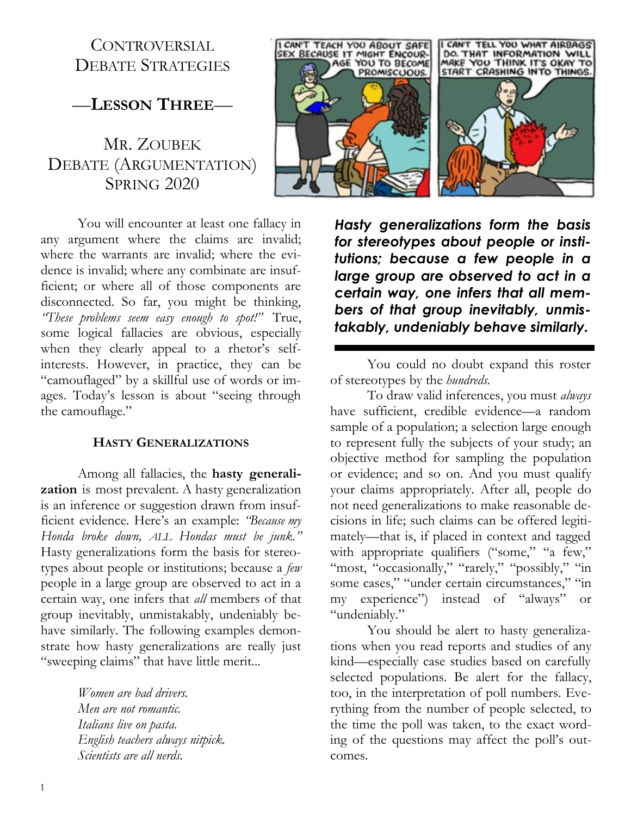## **CONTROVERSIAL** DEBATE STRATEGIES

—**LESSON THREE**—

# MR. ZOUBEK DEBATE (ARGUMENTATION) **SPRING 2020**



You will encounter at least one fallacy in any argument where the claims are invalid; where the warrants are invalid; where the evidence is invalid; where any combinate are insufficient; or where all of those components are disconnected. So far, you might be thinking, *"These problems seem easy enough to spot!"* True, some logical fallacies are obvious, especially when they clearly appeal to a rhetor's selfinterests. However, in practice, they can be "camouflaged" by a skillful use of words or images. Today's lesson is about "seeing through the camouflage."

#### **HASTY GENERALIZATIONS**

Among all fallacies, the **hasty generalization** is most prevalent. A hasty generalization is an inference or suggestion drawn from insufficient evidence. Here's an example: *"Because my Honda broke down, ALL Hondas must be junk."*  Hasty generalizations form the basis for stereotypes about people or institutions; because a *few* people in a large group are observed to act in a certain way, one infers that *all* members of that group inevitably, unmistakably, undeniably behave similarly. The following examples demonstrate how hasty generalizations are really just "sweeping claims" that have little merit...

> *Women are bad drivers. Men are not romantic. Italians live on pasta. English teachers always nitpick. Scientists are all nerds.*

*Hasty generalizations form the basis for stereotypes about people or institutions; because a few people in a large group are observed to act in a certain way, one infers that all members of that group inevitably, unmistakably, undeniably behave similarly.*

You could no doubt expand this roster of stereotypes by the *hundreds.* 

To draw valid inferences, you must *always* have sufficient, credible evidence—a random sample of a population; a selection large enough to represent fully the subjects of your study; an objective method for sampling the population or evidence; and so on. And you must qualify your claims appropriately. After all, people do not need generalizations to make reasonable decisions in life; such claims can be offered legitimately—that is, if placed in context and tagged with appropriate qualifiers ("some," "a few," "most, "occasionally," "rarely," "possibly," "in some cases," "under certain circumstances," "in my experience") instead of "always" or "undeniably."

You should be alert to hasty generalizations when you read reports and studies of any kind—especially case studies based on carefully selected populations. Be alert for the fallacy, too, in the interpretation of poll numbers. Everything from the number of people selected, to the time the poll was taken, to the exact wording of the questions may affect the poll's outcomes.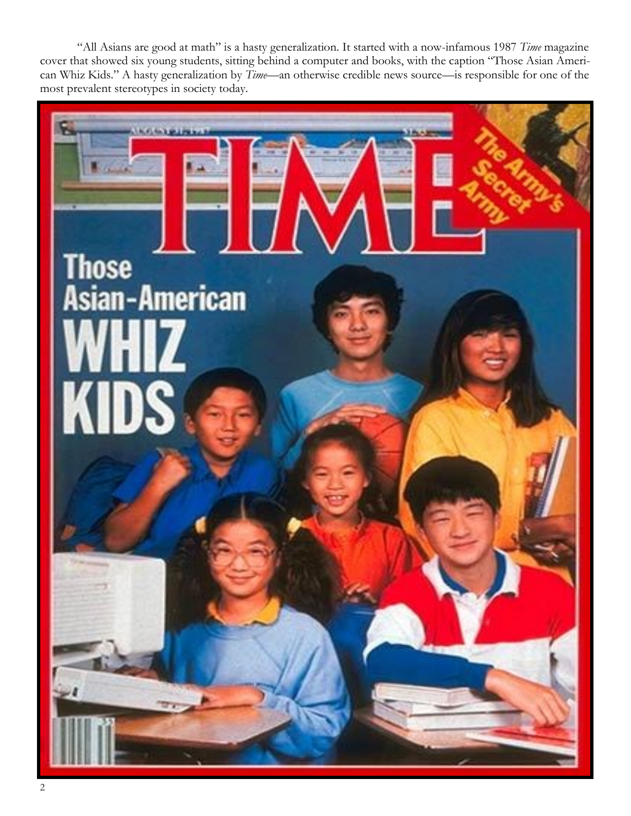"All Asians are good at math" is a hasty generalization. It started with a now-infamous 1987 *Time* magazine cover that showed six young students, sitting behind a computer and books, with the caption "Those Asian American Whiz Kids." A hasty generalization by *Time—*an otherwise credible news source—is responsible for one of the most prevalent stereotypes in society today.

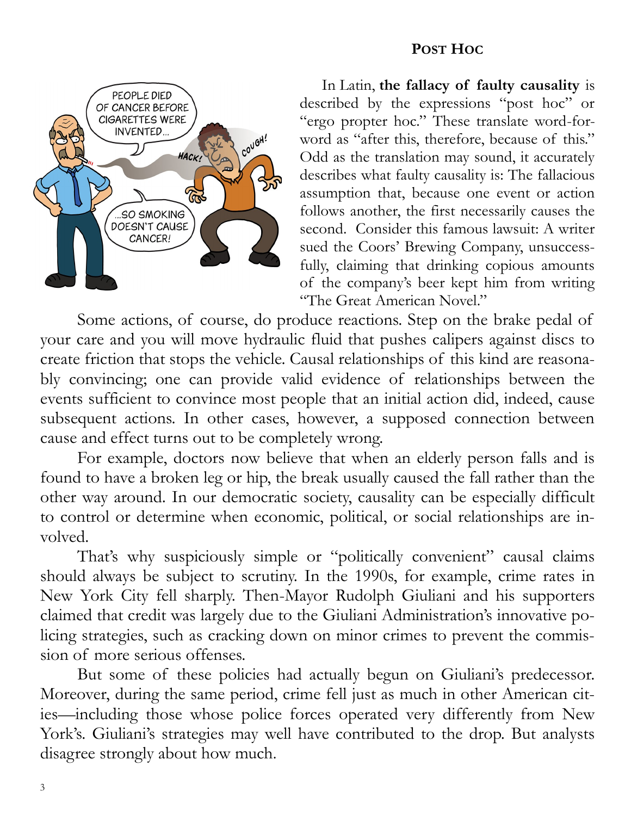### **POST HOC**



In Latin, **the fallacy of faulty causality** is described by the expressions "post hoc" or "ergo propter hoc." These translate word-forword as "after this, therefore, because of this." Odd as the translation may sound, it accurately describes what faulty causality is: The fallacious assumption that, because one event or action follows another, the first necessarily causes the second. Consider this famous lawsuit: A writer sued the Coors' Brewing Company, unsuccessfully, claiming that drinking copious amounts of the company's beer kept him from writing "The Great American Novel."

Some actions, of course, do produce reactions. Step on the brake pedal of your care and you will move hydraulic fluid that pushes calipers against discs to create friction that stops the vehicle. Causal relationships of this kind are reasonably convincing; one can provide valid evidence of relationships between the events sufficient to convince most people that an initial action did, indeed, cause subsequent actions. In other cases, however, a supposed connection between cause and effect turns out to be completely wrong.

For example, doctors now believe that when an elderly person falls and is found to have a broken leg or hip, the break usually caused the fall rather than the other way around. In our democratic society, causality can be especially difficult to control or determine when economic, political, or social relationships are involved.

That's why suspiciously simple or "politically convenient" causal claims should always be subject to scrutiny. In the 1990s, for example, crime rates in New York City fell sharply. Then-Mayor Rudolph Giuliani and his supporters claimed that credit was largely due to the Giuliani Administration's innovative policing strategies, such as cracking down on minor crimes to prevent the commission of more serious offenses.

But some of these policies had actually begun on Giuliani's predecessor. Moreover, during the same period, crime fell just as much in other American cities—including those whose police forces operated very differently from New York's. Giuliani's strategies may well have contributed to the drop. But analysts disagree strongly about how much.